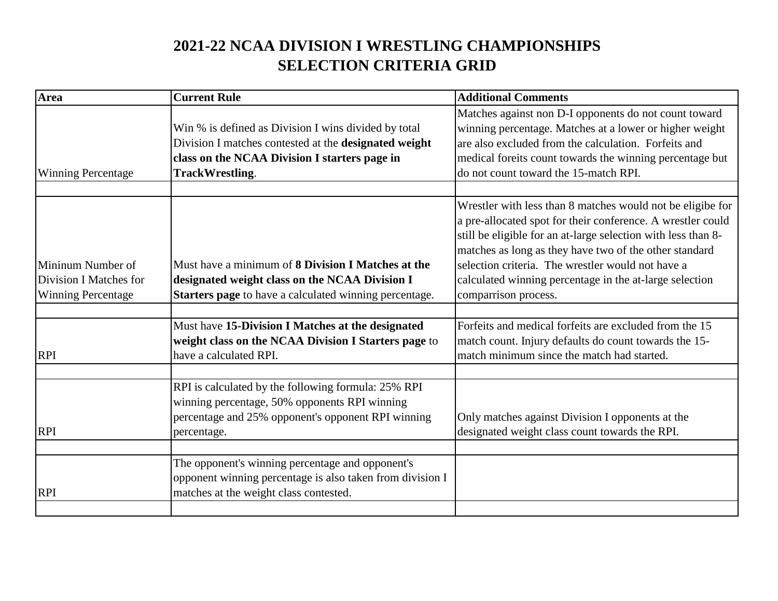## **2021-22 NCAA DIVISION I WRESTLING CHAMPIONSHIPS SELECTION CRITERIA GRID**

| <b>Area</b>                                                              | <b>Current Rule</b>                                                                                                                                                                      | <b>Additional Comments</b>                                                                                                                                                                                                                                                                                                                                                                   |
|--------------------------------------------------------------------------|------------------------------------------------------------------------------------------------------------------------------------------------------------------------------------------|----------------------------------------------------------------------------------------------------------------------------------------------------------------------------------------------------------------------------------------------------------------------------------------------------------------------------------------------------------------------------------------------|
| <b>Winning Percentage</b>                                                | Win % is defined as Division I wins divided by total<br>Division I matches contested at the designated weight<br>class on the NCAA Division I starters page in<br><b>TrackWrestling.</b> | Matches against non D-I opponents do not count toward<br>winning percentage. Matches at a lower or higher weight<br>are also excluded from the calculation. Forfeits and<br>medical foreits count towards the winning percentage but<br>do not count toward the 15-match RPI.                                                                                                                |
|                                                                          |                                                                                                                                                                                          |                                                                                                                                                                                                                                                                                                                                                                                              |
| Mininum Number of<br>Division I Matches for<br><b>Winning Percentage</b> | Must have a minimum of 8 Division I Matches at the<br>designated weight class on the NCAA Division I<br>Starters page to have a calculated winning percentage.                           | Wrestler with less than 8 matches would not be eligibe for<br>a pre-allocated spot for their conference. A wrestler could<br>still be eligible for an at-large selection with less than 8-<br>matches as long as they have two of the other standard<br>selection criteria. The wrestler would not have a<br>calculated winning percentage in the at-large selection<br>comparrison process. |
|                                                                          |                                                                                                                                                                                          |                                                                                                                                                                                                                                                                                                                                                                                              |
| <b>RPI</b>                                                               | Must have 15-Division I Matches at the designated<br>weight class on the NCAA Division I Starters page to<br>have a calculated RPI.                                                      | Forfeits and medical forfeits are excluded from the 15<br>match count. Injury defaults do count towards the 15-<br>match minimum since the match had started.                                                                                                                                                                                                                                |
| <b>RPI</b>                                                               | RPI is calculated by the following formula: 25% RPI<br>winning percentage, 50% opponents RPI winning<br>percentage and 25% opponent's opponent RPI winning<br>percentage.                | Only matches against Division I opponents at the<br>designated weight class count towards the RPI.                                                                                                                                                                                                                                                                                           |
|                                                                          |                                                                                                                                                                                          |                                                                                                                                                                                                                                                                                                                                                                                              |
| <b>RPI</b>                                                               | The opponent's winning percentage and opponent's<br>opponent winning percentage is also taken from division I<br>matches at the weight class contested.                                  |                                                                                                                                                                                                                                                                                                                                                                                              |
|                                                                          |                                                                                                                                                                                          |                                                                                                                                                                                                                                                                                                                                                                                              |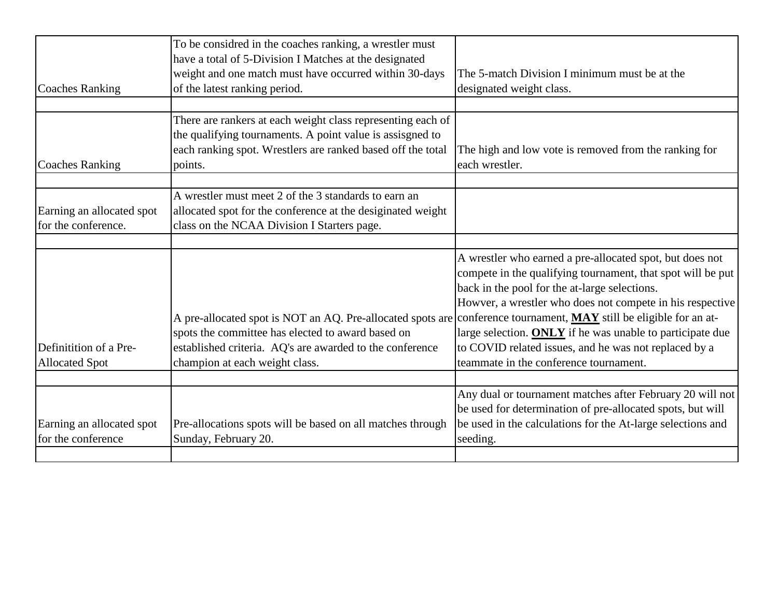|                                                  | To be considred in the coaches ranking, a wrestler must<br>have a total of 5-Division I Matches at the designated                                                                                                                   |                                                                                                                                                                                                                                                                                                                                                             |
|--------------------------------------------------|-------------------------------------------------------------------------------------------------------------------------------------------------------------------------------------------------------------------------------------|-------------------------------------------------------------------------------------------------------------------------------------------------------------------------------------------------------------------------------------------------------------------------------------------------------------------------------------------------------------|
|                                                  | weight and one match must have occurred within 30-days                                                                                                                                                                              | The 5-match Division I minimum must be at the                                                                                                                                                                                                                                                                                                               |
| <b>Coaches Ranking</b>                           | of the latest ranking period.                                                                                                                                                                                                       | designated weight class.                                                                                                                                                                                                                                                                                                                                    |
|                                                  |                                                                                                                                                                                                                                     |                                                                                                                                                                                                                                                                                                                                                             |
| <b>Coaches Ranking</b>                           | There are rankers at each weight class representing each of<br>the qualifying tournaments. A point value is assisgned to<br>each ranking spot. Wrestlers are ranked based off the total<br>points.                                  | The high and low vote is removed from the ranking for<br>each wrestler.                                                                                                                                                                                                                                                                                     |
|                                                  |                                                                                                                                                                                                                                     |                                                                                                                                                                                                                                                                                                                                                             |
| Earning an allocated spot<br>for the conference. | A wrestler must meet 2 of the 3 standards to earn an<br>allocated spot for the conference at the desiginated weight<br>class on the NCAA Division I Starters page.                                                                  |                                                                                                                                                                                                                                                                                                                                                             |
|                                                  |                                                                                                                                                                                                                                     |                                                                                                                                                                                                                                                                                                                                                             |
| Definitition of a Pre-                           | A pre-allocated spot is NOT an AQ. Pre-allocated spots are conference tournament, MAY still be eligible for an at-<br>spots the committee has elected to award based on<br>established criteria. AQ's are awarded to the conference | A wrestler who earned a pre-allocated spot, but does not<br>compete in the qualifying tournament, that spot will be put<br>back in the pool for the at-large selections.<br>Howver, a wrestler who does not compete in his respective<br>large selection. ONLY if he was unable to participate due<br>to COVID related issues, and he was not replaced by a |
| <b>Allocated Spot</b>                            | champion at each weight class.                                                                                                                                                                                                      | teammate in the conference tournament.                                                                                                                                                                                                                                                                                                                      |
|                                                  |                                                                                                                                                                                                                                     |                                                                                                                                                                                                                                                                                                                                                             |
| Earning an allocated spot<br>for the conference  | Pre-allocations spots will be based on all matches through                                                                                                                                                                          | Any dual or tournament matches after February 20 will not<br>be used for determination of pre-allocated spots, but will<br>be used in the calculations for the At-large selections and                                                                                                                                                                      |
|                                                  | Sunday, February 20.                                                                                                                                                                                                                | seeding.                                                                                                                                                                                                                                                                                                                                                    |